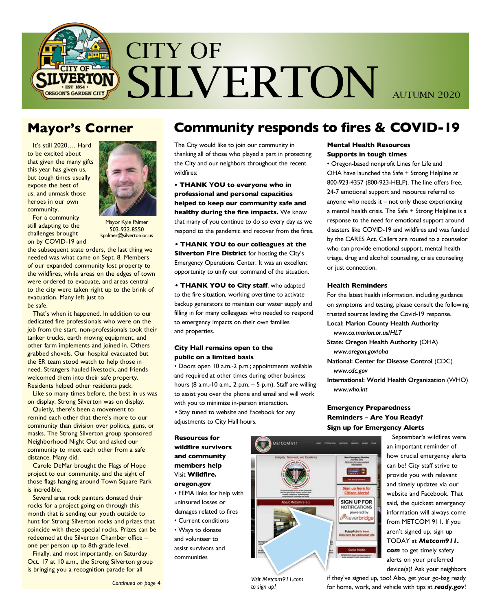

# **Mayor's Corner**

It's still 2020…. Hard to be excited about that given the many gifts this year has given us, but tough times usually expose the best of us, and unmask those heroes in our own community.



For a community still adapting to the challenges brought on by COVID-19 and

Mayor Kyle Palmer 503-932-8550 kpalmer@silverton.or.us

the subsequent state orders, the last thing we needed was what came on Sept. 8. Members of our expanded community lost property to the wildfires, while areas on the edges of town were ordered to evacuate, and areas central to the city were taken right up to the brink of evacuation. Many left just to be safe.

That's when it happened. In addition to our dedicated fire professionals who were on the job from the start, non-professionals took their tanker trucks, earth moving equipment, and other farm implements and joined in. Others grabbed shovels. Our hospital evacuated but the ER team stood watch to help those in need. Strangers hauled livestock, and friends welcomed them into their safe property. Residents helped other residents pack.

Like so many times before, the best in us was on display. Strong Silverton was on display.

Quietly, there's been a movement to remind each other that there's more to our community than division over politics, guns, or masks. The Strong Silverton group sponsored Neighborhood Night Out and asked our community to meet each other from a safe distance. Many did.

Carole DeMar brought the Flags of Hope project to our community, and the sight of those flags hanging around Town Square Park is incredible.

Several area rock painters donated their rocks for a project going on through this month that is sending our youth outside to hunt for Strong Silverton rocks and prizes that coincide with these special rocks. Prizes can be redeemed at the Silverton Chamber office – one per person up to 8th grade level.

Finally, and most importantly, on Saturday Oct. 17 at 10 a.m., the Strong Silverton group is bringing you a recognition parade for all

# **Community responds to fires & COVID-19**

The City would like to join our community in thanking all of those who played a part in protecting the City and our neighbors throughout the recent wildfires:

**• THANK YOU to everyone who in professional and personal capacities helped to keep our community safe and healthy during the fire impacts.** We know that many of you continue to do so every day as we respond to the pandemic and recover from the fires.

**• THANK YOU to our colleagues at the Silverton Fire District** for hosting the City's Emergency Operations Center. It was an excellent opportunity to unify our command of the situation.

**• THANK YOU to City staff**, who adapted to the fire situation, working overtime to activate backup generators to maintain our water supply and filling in for many colleagues who needed to respond to emergency impacts on their own families and properties.

## **City Hall remains open to the public on a limited basis**

• Doors open 10 a.m.-2 p.m.; appointments available and required at other times during other business hours (8 a.m.-10 a.m., 2 p.m. – 5 p.m). Staff are willing to assist you over the phone and email and will work with you to minimize in-person interaction.

• Stay tuned to website and Facebook for any adjustments to City Hall hours.

**Resources for wildfire survivors and community members help** Visit **Wildfire. oregon.gov**

• FEMA links for help with uninsured losses or

- damages related to fires
- Current conditions • Ways to donate

and volunteer to assist survivors and communities

## **Mental Health Resources Supports in tough times**

• Oregon-based nonprofit Lines for Life and OHA have launched the Safe + Strong Helpline at 800-923-4357 (800-923-HELP). The line offers free, 24-7 emotional support and resource referral to anyone who needs it – not only those experiencing a mental health crisis. The Safe + Strong Helpline is a response to the need for emotional support around disasters like COVID-19 and wildfires and was funded by the CARES Act. Callers are routed to a counselor who can provide emotional support, mental health triage, drug and alcohol counseling, crisis counseling or just connection.

## **Health Reminders**

For the latest health information, including guidance on symptoms and testing, please consult the following trusted sources leading the Covid-19 response. **Local: Marion County Health Authority** *www.co.marion.or.us/HLT* **State: Oregon Health Authority** (OHA)

 *www.oregon.gov/oha* **National: Center for Disease Control** (CDC) *www.cdc.gov*

**International: World Health Organization** (WHO) *www.who.int*

## **Emergency Preparedness Reminders – Are You Ready? Sign up for Emergency Alerts**



September's wildfires were an important reminder of how crucial emergency alerts can be! City staff strive to provide you with relevant and timely updates via our website and Facebook. That said, the quickest emergency information will always come from METCOM 911. If you aren't signed up, sign up TODAY at *Metcom911. com* to get timely safety alerts on your preferred device(s)! Ask your neighbors

if they've signed up, too! Also, get your go-bag ready for home, work, and vehicle with tips at *ready.gov*!

*Visit Metcom911.com to sign up!*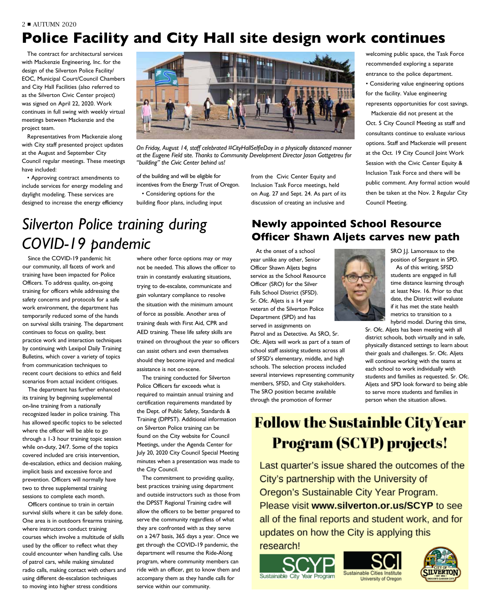# **Police Facility and City Hall site design work continues**

The contract for architectural services with Mackenzie Engineering, Inc. for the design of the Silverton Police Facility/ EOC, Municipal Court/Council Chambers and City Hall Facilities (also referred to as the Silverton Civic Center project) was signed on April 22, 2020. Work continues in full swing with weekly virtual meetings between Mackenzie and the project team.

Representatives from Mackenzie along with City staff presented project updates at the August and September City Council regular meetings. These meetings have included:

• Approving contract amendments to include services for energy modeling and daylight modeling. These services are designed to increase the energy efficiency



*On Friday, August 14, staff celebrated #CityHallSelfieDay in a physically distanced manner at the Eugene Field site. Thanks to Community Development Director Jason Gottgetreu for "building" the Civic Center behind us!*

of the building and will be eligible for incentives from the Energy Trust of Oregon.

• Considering options for the building floor plans, including input from the Civic Center Equity and Inclusion Task Force meetings, held on Aug. 27 and Sept. 24. As part of its discussion of creating an inclusive and

welcoming public space, the Task Force recommended exploring a separate entrance to the police department. • Considering value engineering options for the facility. Value engineering represents opportunities for cost savings.

Mackenzie did not present at the Oct. 5 City Council Meeting as staff and consultants continue to evaluate various options. Staff and Mackenzie will present at the Oct. 19 City Council Joint Work Session with the Civic Center Equity & Inclusion Task Force and there will be public comment. Any formal action would then be taken at the Nov. 2 Regular City Council Meeting.

# *Silverton Police training during COVID-19 pandemic*

Since the COVID-19 pandemic hit our community, all facets of work and training have been impacted for Police Officers. To address quality, on-going training for officers while addressing the safety concerns and protocols for a safe work environment, the department has temporarily reduced some of the hands on survival skills training. The department continues to focus on quality, best practice work and interaction techniques by continuing with Lexipol Daily Training Bulletins, which cover a variety of topics from communication techniques to recent court decisions to ethics and field scenarios from actual incident critiques.

The department has further enhanced its training by beginning supplemental on-line training from a nationally recognized leader in police training. This has allowed specific topics to be selected where the officer will be able to go through a 1-3 hour training topic session while on-duty, 24/7. Some of the topics covered included are crisis intervention, de-escalation, ethics and decision making, implicit basis and excessive force and prevention. Officers will normally have two to three supplemental training sessions to complete each month.

Officers continue to train in certain survival skills where it can be safely done. One area is in outdoors firearms training, where instructors conduct training courses which involve a multitude of skills used by the officer to reflect what they could encounter when handling calls. Use of patrol cars, while making simulated radio calls, making contact with others and using different de-escalation techniques to moving into higher stress conditions

where other force options may or may not be needed. This allows the officer to train in constantly evaluating situations, trying to de-escalate, communicate and gain voluntary compliance to resolve the situation with the minimum amount of force as possible. Another area of training deals with First Aid, CPR and AED training. These life safety skills are trained on throughout the year so officers can assist others and even themselves should they become injured and medical assistance is not on-scene.

The training conducted for Silverton Police Officers far exceeds what is required to maintain annual training and certification requirements mandated by the Dept. of Public Safety, Standards & Training (DPPST). Additional information on Silverton Police training can be found on the City website for Council Meetings, under the Agenda Center for July 20, 2020 City Council Special Meeting minutes when a presentation was made to the City Council.

The commitment to providing quality, best practices training using department and outside instructors such as those from the DPSST Regional Training cadre will allow the officers to be better prepared to serve the community regardless of what they are confronted with as they serve on a 24/7 basis, 365 days a year. Once we get through the COVID-19 pandemic, the department will resume the Ride-Along program, where community members can ride with an officer, get to know them and accompany them as they handle calls for service within our community.

# **Newly appointed School Resource Officer Shawn Aljets carves new path**

At the onset of a school year unlike any other, Senior Officer Shawn Aljets begins service as the School Resource Officer (SRO) for the Silver Falls School District (SFSD). Sr. Ofc. Aljets is a 14 year veteran of the Silverton Police Department (SPD) and has served in assignments on

Patrol and as Detective. As SRO, Sr. Ofc. Aljets will work as part of a team of school staff assisting students across all of SFSD's elementary, middle, and high schools. The selection process included several interviews representing community members, SFSD, and City stakeholders. The SRO position became available through the promotion of former



SRO J.J. Lamoreaux to the position of Sergeant in SPD.

As of this writing, SFSD students are engaged in full time distance learning through at least Nov. 16. Prior to that date, the District will evaluate if it has met the state health metrics to transition to a hybrid model. During this time,

Sr. Ofc. Aljets has been meeting with all district schools, both virtually and in safe, physically distanced settings to learn about their goals and challenges. Sr. Ofc. Aljets will continue working with the teams at each school to work individually with students and families as requested. Sr. Ofc. Aljets and SPD look forward to being able to serve more students and families in person when the situation allows.

# **Follow the Sustainble CityYear Program (SCYP) projects!**

Last quarter's issue shared the outcomes of the City's partnership with the University of Oregon's Sustainable City Year Program. Please visit www.silverton.or.us/SCYP to see all of the final reports and student work, and for updates on how the City is applying this

research!





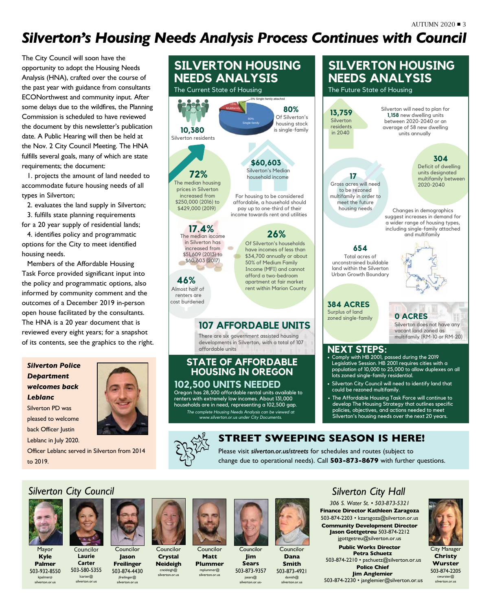# *Silverton's Housing Needs Analysis Process Continues with Council*

The City Council will soon have the opportunity to adopt the Housing Needs Analysis (HNA), crafted over the course of the past year with guidance from consultants ECONorthwest and community input. After some delays due to the wildfires, the Planning Commission is scheduled to have reviewed the document by this newsletter's publication date. A Public Hearing will then be held at the Nov. 2 City Council Meeting. The HNA fulfills several goals, many of which are state requirements; the document:

1. projects the amount of land needed to accommodate future housing needs of all types in Silverton;

2. evaluates the land supply in Silverton; 3. fulfills state planning requirements for a 20 year supply of residential lands;

4. identifies policy and programmatic options for the City to meet identified housing needs.

Members of the Affordable Housing Task Force provided significant input into the policy and programmatic options, also informed by community comment and the outcomes of a December 2019 in-person open house facilitated by the consultants. The HNA is a 20 year document that is reviewed every eight years; for a snapshot of its contents, see the graphics to the right.

*Silverton Police Department welcomes back Leblanc* Silverton PD was pleased to welcome back Officer Justin

Leblanc in July 2020.



Officer Leblanc served in Silverton from 2014 to 2019.



### The Future State of Housing **13,759 Silverton** residents in 2040 Silverton will need to plan for **1,158** new dwelling units between 2020-2040 or an average of 58 new dwelling units annually **304** Deficit of dwelling units designated multifamily between 2020-2040 **17** Gross acres will need to be rezoned multifamily in order to

housing needs Changes in demographics suggest increases in demand for a wider range of housing types, including single-family attached and multifamily

**654** Total acres of unconstrained buildable land within the Silverton Urban Growth Boundary

**384 ACRES** Surplus of land zoned single-family **0 ACRES**

Silverton does not have any

vacant land zoned as multifamily (RM-10 or RM-20)

## **NEXT STEPS:**

- Comply with HB 2001, passed during the 2019 Legislative Session. HB 2001 requires cities with a population of 10,000 to 25,000 to allow duplexes on all lots zoned single-family residential.
- Silverton City Council will need to identify land that could be rezoned multifamily.
- The Affordable Housing Task Force will continue to develop The Housing Strategy that outlines specific policies, objectives, and actions needed to meet Silverton's housing needs over the next 20 years.

## **STREET SWEEPING SEASON IS HERE!**

Please visit *silverton.or.us/streets* for schedules and routes (subject to change due to operational needs). Call **503-873-8679** with further questions.

# *Silverton City Council*



Mayor **Kyle Palmer**

503-932-8550 kpalmer@ silverton.or.us

**Laurie Carter** 503-580-5355 lcarter@ silverton.or.us

Councilor



Councilor **Jason Freilinger** 503-874-4430

jfreilinger@ silverton.or.us



Councilor **Matt Plummer** 



Councilor **Jim Sears** 503-873-9357



jsears@ silverton.or.u

Councilor **Dana Smith** 503-873-4921

dsmith@ silverton.or.us

# *Silverton City Hall*

*306 S. Water St. • 503-873-5321* **Finance Director Kathleen Zaragoza** 503-874-2203 • kzaragoza@silverton.or.us **Community Development Director Jason Gottgetreu** 503-874-2212 jgottgetreu@silverton.or.us



City Manager **Christy Wurster** 503-874-2205 cwurster@ silverton.or.us

**Crystal Neideigh** cneideigh@ silverton.or.us mplummer@ silverton.or.us